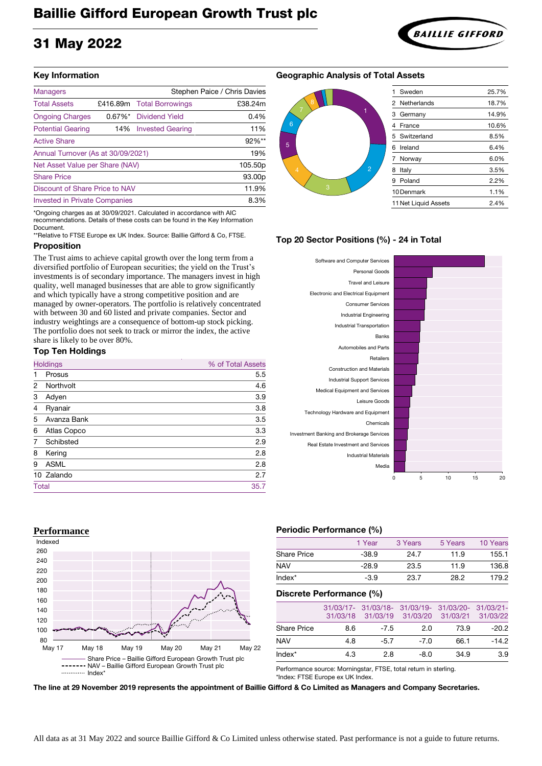# Baillie Gifford European Growth Trust plc

## 31 May 2022

#### **Key Information**

| <b>Managers</b>                      |     |                           | Stephen Paice / Chris Davies |
|--------------------------------------|-----|---------------------------|------------------------------|
| <b>Total Assets</b>                  |     | £416.89m Total Borrowings | £38.24m                      |
| <b>Ongoing Charges</b>               |     | 0.67%* Dividend Yield     | 0.4%                         |
| <b>Potential Gearing</b>             |     | 14% Invested Gearing      | 11%                          |
| <b>Active Share</b>                  |     |                           | 92%**                        |
| Annual Turnover (As at 30/09/2021)   | 19% |                           |                              |
| Net Asset Value per Share (NAV)      |     |                           | 105.50p                      |
| <b>Share Price</b>                   |     |                           | 93.00 <sub>p</sub>           |
| Discount of Share Price to NAV       |     |                           | 11.9%                        |
| <b>Invested in Private Companies</b> |     |                           | 8.3%                         |

\*Ongoing charges as at 30/09/2021. Calculated in accordance with AIC recommendations. Details of these costs can be found in the Key Information Document.

\*\*Relative to FTSE Europe ex UK Index. Source: Baillie Gifford & Co, FTSE.

### **Proposition**

The Trust aims to achieve capital growth over the long term from a diversified portfolio of European securities; the yield on the Trust's investments is of secondary importance. The managers invest in high quality, well managed businesses that are able to grow significantly and which typically have a strong competitive position and are managed by owner-operators. The portfolio is relatively concentrated with between 30 and 60 listed and private companies. Sector and industry weightings are a consequence of bottom-up stock picking. The portfolio does not seek to track or mirror the index, the active share is likely to be over 80%.

#### **Top Ten Holdings**

|                | <b>Holdings</b>    | % of Total Assets |
|----------------|--------------------|-------------------|
|                | <b>Prosus</b>      | 5.5               |
| $\overline{2}$ | Northvolt          | 4.6               |
| 3              | Adyen              | 3.9               |
| $\overline{4}$ | Ryanair            | 3.8               |
| 5              | Avanza Bank        | 3.5               |
| 6              | <b>Atlas Copco</b> | 3.3               |
|                | Schibsted          | 2.9               |
| 8              | Kering             | 2.8               |
| 9              | <b>ASML</b>        | 2.8               |
|                | 10 Zalando         | 2.7               |
| <b>Total</b>   |                    | 35.7              |

#### **Geographic Analysis of Total Assets**



#### **Top 20 Sector Positions (%) - 24 in Total**







#### **Performance Periodic Performance (%)**

|                    | 1 Year  | 3 Years | 5 Years | 10 Years |
|--------------------|---------|---------|---------|----------|
| <b>Share Price</b> | $-38.9$ | 24.7    | 11.9    | 155.1    |
| <b>NAV</b>         | $-28.9$ | 23.5    | 11.9    | 136.8    |
| $Index^*$          | $-3.9$  | 23.7    | 28.2    | 179.2    |

#### **Discrete Performance (%)**

|                    |     |        | 31/03/17- 31/03/18- 31/03/19- 31/03/20- 31/03/21-<br>31/03/18 31/03/19 31/03/20 31/03/21 31/03/22 |      |         |
|--------------------|-----|--------|---------------------------------------------------------------------------------------------------|------|---------|
| <b>Share Price</b> | 8.6 | $-7.5$ | 2.0                                                                                               | 73.9 | $-20.2$ |
| <b>NAV</b>         | 4.8 | $-5.7$ | $-7.0$                                                                                            | 66.1 | $-14.2$ |
| Index*             | 4.3 | 2.8    | $-8.0$                                                                                            | 34.9 | 3.9     |
|                    |     |        |                                                                                                   |      |         |

Performance source: Morningstar, FTSE, total return in sterling.

\*Index: FTSE Europe ex UK Index.

**The line at 29 November 2019 represents the appointment of Baillie Gifford & Co Limited as Managers and Company Secretaries.**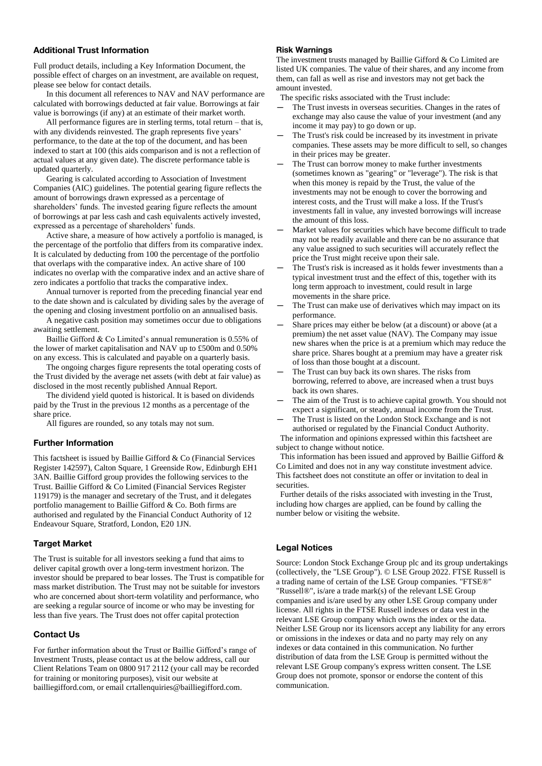#### **Additional Trust Information**

Full product details, including a Key Information Document, the possible effect of charges on an investment, are available on request, please see below for contact details.

In this document all references to NAV and NAV performance are calculated with borrowings deducted at fair value. Borrowings at fair value is borrowings (if any) at an estimate of their market worth.

All performance figures are in sterling terms, total return – that is, with any dividends reinvested. The graph represents five years' performance, to the date at the top of the document, and has been indexed to start at 100 (this aids comparison and is not a reflection of actual values at any given date). The discrete performance table is updated quarterly.

Gearing is calculated according to Association of Investment Companies (AIC) guidelines. The potential gearing figure reflects the amount of borrowings drawn expressed as a percentage of shareholders' funds. The invested gearing figure reflects the amount of borrowings at par less cash and cash equivalents actively invested, expressed as a percentage of shareholders' funds.

Active share, a measure of how actively a portfolio is managed, is the percentage of the portfolio that differs from its comparative index. It is calculated by deducting from 100 the percentage of the portfolio that overlaps with the comparative index. An active share of 100 indicates no overlap with the comparative index and an active share of zero indicates a portfolio that tracks the comparative index.

Annual turnover is reported from the preceding financial year end to the date shown and is calculated by dividing sales by the average of the opening and closing investment portfolio on an annualised basis.

A negative cash position may sometimes occur due to obligations awaiting settlement.

Baillie Gifford & Co Limited's annual remuneration is 0.55% of the lower of market capitalisation and NAV up to £500m and 0.50% on any excess. This is calculated and payable on a quarterly basis.

The ongoing charges figure represents the total operating costs of the Trust divided by the average net assets (with debt at fair value) as disclosed in the most recently published Annual Report.

The dividend yield quoted is historical. It is based on dividends paid by the Trust in the previous 12 months as a percentage of the share price.

All figures are rounded, so any totals may not sum.

#### **Further Information**

This factsheet is issued by Baillie Gifford & Co (Financial Services Register 142597), Calton Square, 1 Greenside Row, Edinburgh EH1 3AN. Baillie Gifford group provides the following services to the Trust. Baillie Gifford & Co Limited (Financial Services Register 119179) is the manager and secretary of the Trust, and it delegates portfolio management to Baillie Gifford & Co. Both firms are authorised and regulated by the Financial Conduct Authority of 12 Endeavour Square, Stratford, London, E20 1JN.

#### **Target Market**

The Trust is suitable for all investors seeking a fund that aims to deliver capital growth over a long-term investment horizon. The investor should be prepared to bear losses. The Trust is compatible for mass market distribution. The Trust may not be suitable for investors who are concerned about short-term volatility and performance, who are seeking a regular source of income or who may be investing for less than five years. The Trust does not offer capital protection

#### **Contact Us**

For further information about the Trust or Baillie Gifford's range of Investment Trusts, please contact us at the below address, call our Client Relations Team on 0800 917 2112 (your call may be recorded for training or monitoring purposes), visit our website at bailliegifford.com, or email crtallenquiries@bailliegifford.com.

#### **Risk Warnings**

The investment trusts managed by Baillie Gifford & Co Limited are listed UK companies. The value of their shares, and any income from them, can fall as well as rise and investors may not get back the amount invested.

The specific risks associated with the Trust include:

- The Trust invests in overseas securities. Changes in the rates of exchange may also cause the value of your investment (and any income it may pay) to go down or up.
- The Trust's risk could be increased by its investment in private companies. These assets may be more difficult to sell, so changes in their prices may be greater.
- The Trust can borrow money to make further investments (sometimes known as "gearing" or "leverage"). The risk is that when this money is repaid by the Trust, the value of the investments may not be enough to cover the borrowing and interest costs, and the Trust will make a loss. If the Trust's investments fall in value, any invested borrowings will increase the amount of this loss.
- Market values for securities which have become difficult to trade may not be readily available and there can be no assurance that any value assigned to such securities will accurately reflect the price the Trust might receive upon their sale.
- The Trust's risk is increased as it holds fewer investments than a typical investment trust and the effect of this, together with its long term approach to investment, could result in large movements in the share price.
- The Trust can make use of derivatives which may impact on its performance.
- Share prices may either be below (at a discount) or above (at a premium) the net asset value (NAV). The Company may issue new shares when the price is at a premium which may reduce the share price. Shares bought at a premium may have a greater risk of loss than those bought at a discount.
- The Trust can buy back its own shares. The risks from borrowing, referred to above, are increased when a trust buys back its own shares.
- The aim of the Trust is to achieve capital growth. You should not expect a significant, or steady, annual income from the Trust.
- The Trust is listed on the London Stock Exchange and is not authorised or regulated by the Financial Conduct Authority.

 The information and opinions expressed within this factsheet are subject to change without notice.

 This information has been issued and approved by Baillie Gifford & Co Limited and does not in any way constitute investment advice. This factsheet does not constitute an offer or invitation to deal in securities.

 Further details of the risks associated with investing in the Trust, including how charges are applied, can be found by calling the number below or visiting the website.

#### **Legal Notices**

Source: London Stock Exchange Group plc and its group undertakings (collectively, the "LSE Group"). © LSE Group 2022. FTSE Russell is a trading name of certain of the LSE Group companies. "FTSE®" "Russell®", is/are a trade mark(s) of the relevant LSE Group companies and is/are used by any other LSE Group company under license. All rights in the FTSE Russell indexes or data vest in the relevant LSE Group company which owns the index or the data. Neither LSE Group nor its licensors accept any liability for any errors or omissions in the indexes or data and no party may rely on any indexes or data contained in this communication. No further distribution of data from the LSE Group is permitted without the relevant LSE Group company's express written consent. The LSE Group does not promote, sponsor or endorse the content of this communication.